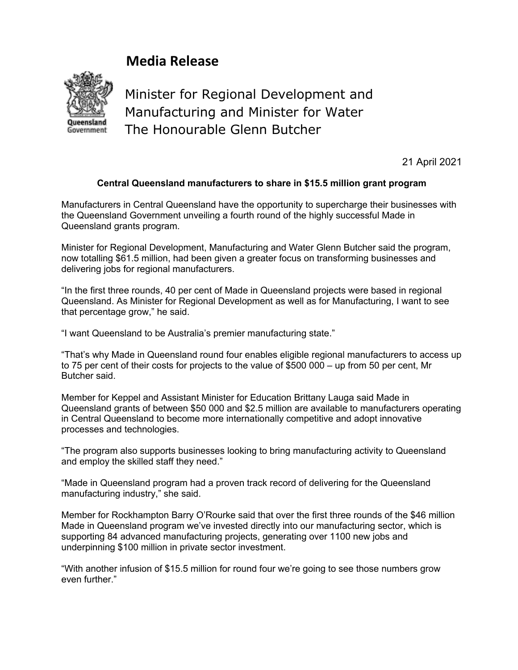## **Media Release**



Minister for Regional Development and Manufacturing and Minister for Water The Honourable Glenn Butcher

21 April 2021

## **Central Queensland manufacturers to share in \$15.5 million grant program**

Manufacturers in Central Queensland have the opportunity to supercharge their businesses with the Queensland Government unveiling a fourth round of the highly successful Made in Queensland grants program.

Minister for Regional Development, Manufacturing and Water Glenn Butcher said the program, now totalling \$61.5 million, had been given a greater focus on transforming businesses and delivering jobs for regional manufacturers.

"In the first three rounds, 40 per cent of Made in Queensland projects were based in regional Queensland. As Minister for Regional Development as well as for Manufacturing, I want to see that percentage grow," he said.

"I want Queensland to be Australia's premier manufacturing state."

"That's why Made in Queensland round four enables eligible regional manufacturers to access up to 75 per cent of their costs for projects to the value of \$500 000 – up from 50 per cent, Mr Butcher said.

Member for Keppel and Assistant Minister for Education Brittany Lauga said Made in Queensland grants of between \$50 000 and \$2.5 million are available to manufacturers operating in Central Queensland to become more internationally competitive and adopt innovative processes and technologies.

"The program also supports businesses looking to bring manufacturing activity to Queensland and employ the skilled staff they need."

"Made in Queensland program had a proven track record of delivering for the Queensland manufacturing industry," she said.

Member for Rockhampton Barry O'Rourke said that over the first three rounds of the \$46 million Made in Queensland program we've invested directly into our manufacturing sector, which is supporting 84 advanced manufacturing projects, generating over 1100 new jobs and underpinning \$100 million in private sector investment.

"With another infusion of \$15.5 million for round four we're going to see those numbers grow even further."